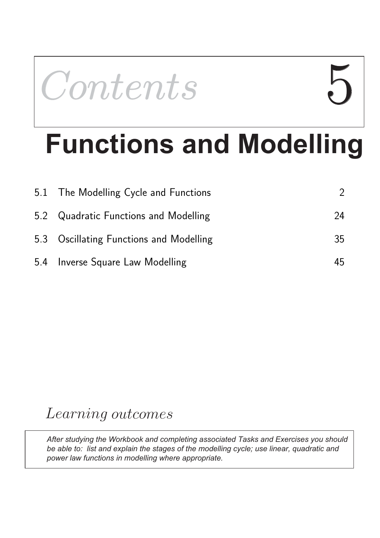

# **Functions and Modelling**

| 5.1 The Modelling Cycle and Functions   |    |
|-----------------------------------------|----|
| 5.2 Quadratic Functions and Modelling   | 24 |
| 5.3 Oscillating Functions and Modelling | 35 |
| 5.4 Inverse Square Law Modelling        | 45 |

# Learning outcomes

*After studying the Workbook and completing associated Tasks and Exercises you should be able to: list and explain the stages of the modelling cycle; use linear, quadratic and power law functions in modelling where appropriate.*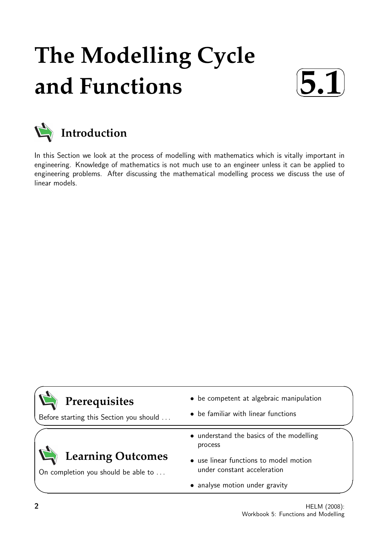# **The Modelling Cycle and Functions**





In this Section we look at the process of modelling with mathematics which is vitally important in engineering. Knowledge of mathematics is not much use to an engineer unless it can be applied to engineering problems. After discussing the mathematical modelling process we discuss the use of linear models.

| Prerequisites                           | • be competent at algebraic manipulation            |
|-----------------------------------------|-----------------------------------------------------|
| Before starting this Section you should | • be familiar with linear functions                 |
|                                         | • understand the basics of the modelling<br>process |
| <b>Learning Outcomes</b>                | • use linear functions to model motion              |
| On completion you should be able to     | under constant acceleration                         |
|                                         | • analyse motion under gravity                      |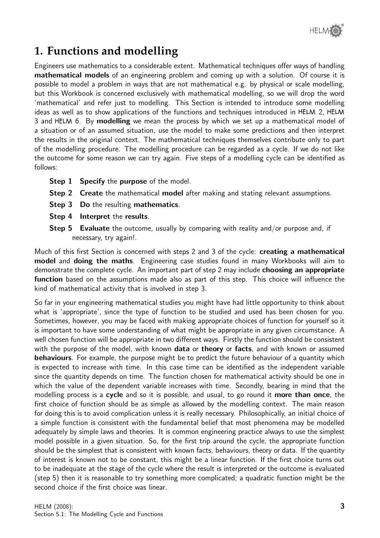

# **1. Functions and modelling**

Engineers use mathematics to a considerable extent. Mathematical techniques offer ways of handling mathematical models of an engineering problem and coming up with a solution. Of course it is possible to model a problem in ways that are not mathematical e.g. by physical or scale modelling, but this Workbook is concerned exclusively with mathematical modelling, so we will drop the word 'mathematical' and refer just to modelling. This Section is intended to introduce some modelling ideas as well as to show applications of the functions and techniques introduced in HELM 2, HELM 3 and HELM 6. By modelling we mean the process by which we set up a mathematical model of a situation or of an assumed situation, use the model to make some predictions and then interpret the results in the original context. The mathematical techniques themselves contribute only to part of the modelling procedure. The modelling procedure can be regarded as a cycle. If we do not like the outcome for some reason we can try again. Five steps of a modelling cycle can be identified as follows:

- **Step 1 Specify the purpose of the model.**
- Step 2 Create the mathematical model after making and stating relevant assumptions.
- **Step 3 Do the resulting mathematics.**
- Step 4 Interpret the results.
- **Step 5** Evaluate the outcome, usually by comparing with reality and/or purpose and, if necessary, try again!.

Much of this first Section is concerned with steps 2 and 3 of the cycle: **creating a mathematical** model and doing the maths. Engineering case studies found in many Workbooks will aim to demonstrate the complete cycle. An important part of step 2 may include **choosing an appropriate** function based on the assumptions made also as part of this step. This choice will influence the kind of mathematical activity that is involved in step 3.

So far in your engineering mathematical studies you might have had little opportunity to think about what is 'appropriate', since the type of function to be studied and used has been chosen for you. Sometimes, however, you may be faced with making appropriate choices of function for yourself so it is important to have some understanding of what might be appropriate in any given circumstance. A well chosen function will be appropriate in two different ways. Firstly the function should be consistent with the purpose of the model, with known **data** or **theory** or **facts**, and with known or assumed **behaviours**. For example, the purpose might be to predict the future behaviour of a quantity which is expected to increase with time. In this case time can be identified as the independent variable since the quantity depends on time. The function chosen for mathematical activity should be one in which the value of the dependent variable increases with time. Secondly, bearing in mind that the modelling process is a cycle and so it is possible, and usual, to go round it more than once, the first choice of function should be as simple as allowed by the modelling context. The main reason for doing this is to avoid complication unless it is really necessary. Philosophically, an initial choice of a simple function is consistent with the fundamental belief that most phenomena may be modelled adequately by simple laws and theories. It is common engineering practice always to use the simplest model possible in a given situation. So, for the first trip around the cycle, the appropriate function should be the simplest that is consistent with known facts, behaviours, theory or data. If the quantity of interest is known not to be constant, this might be a linear function. If the first choice turns out to be inadequate at the stage of the cycle where the result is interpreted or the outcome is evaluated (step 5) then it is reasonable to try something more complicated; a quadratic function might be the second choice if the first choice was linear.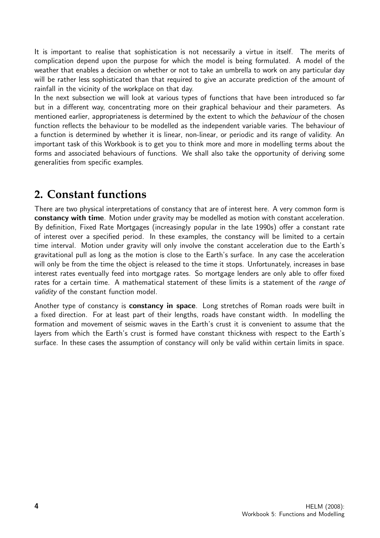It is important to realise that sophistication is not necessarily a virtue in itself. The merits of complication depend upon the purpose for which the model is being formulated. A model of the weather that enables a decision on whether or not to take an umbrella to work on any particular day will be rather less sophisticated than that required to give an accurate prediction of the amount of rainfall in the vicinity of the workplace on that day.

In the next subsection we will look at various types of functions that have been introduced so far but in a different way, concentrating more on their graphical behaviour and their parameters. As mentioned earlier, appropriateness is determined by the extent to which the *behaviour* of the chosen function reflects the behaviour to be modelled as the independent variable varies. The behaviour of a function is determined by whether it is linear, non-linear, or periodic and its range of validity. An important task of this Workbook is to get you to think more and more in modelling terms about the forms and associated behaviours of functions. We shall also take the opportunity of deriving some generalities from specific examples.

## **2. Constant functions**

There are two physical interpretations of constancy that are of interest here. A very common form is constancy with time. Motion under gravity may be modelled as motion with constant acceleration. By definition, Fixed Rate Mortgages (increasingly popular in the late 1990s) offer a constant rate of interest over a specified period. In these examples, the constancy will be limited to a certain time interval. Motion under gravity will only involve the constant acceleration due to the Earth's gravitational pull as long as the motion is close to the Earth's surface. In any case the acceleration will only be from the time the object is released to the time it stops. Unfortunately, increases in base interest rates eventually feed into mortgage rates. So mortgage lenders are only able to offer fixed rates for a certain time. A mathematical statement of these limits is a statement of the range of validity of the constant function model.

Another type of constancy is constancy in space. Long stretches of Roman roads were built in a fixed direction. For at least part of their lengths, roads have constant width. In modelling the formation and movement of seismic waves in the Earth's crust it is convenient to assume that the layers from which the Earth's crust is formed have constant thickness with respect to the Earth's surface. In these cases the assumption of constancy will only be valid within certain limits in space.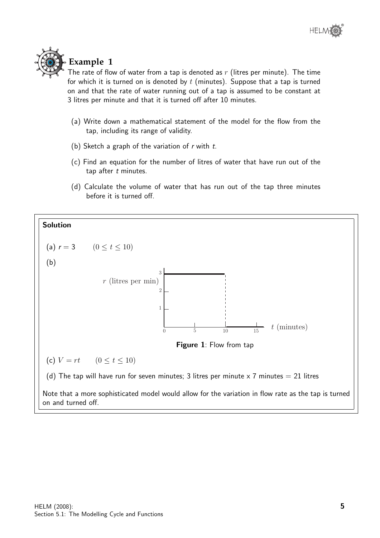

### **Example 1**

The rate of flow of water from a tap is denoted as  $r$  (litres per minute). The time for which it is turned on is denoted by  $t$  (minutes). Suppose that a tap is turned on and that the rate of water running out of a tap is assumed to be constant at 3 litres per minute and that it is turned off after 10 minutes.

- (a) Write down a mathematical statement of the model for the flow from the tap, including its range of validity.
- (b) Sketch a graph of the variation of  $r$  with  $t$ .
- (c) Find an equation for the number of litres of water that have run out of the tap after  $t$  minutes.
- (d) Calculate the volume of water that has run out of the tap three minutes before it is turned off.

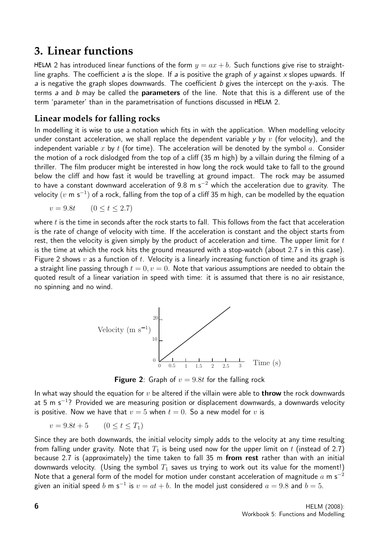## **3. Linear functions**

HELM 2 has introduced linear functions of the form  $y = ax + b$ . Such functions give rise to straightline graphs. The coefficient a is the slope. If a is positive the graph of y against x slopes upwards. If a is negative the graph slopes downwards. The coefficient b gives the intercept on the y-axis. The terms a and b may be called the **parameters** of the line. Note that this is a different use of the term 'parameter' than in the parametrisation of functions discussed in HELM 2.

#### **Linear models for falling rocks**

In modelling it is wise to use a notation which fits in with the application. When modelling velocity under constant acceleration, we shall replace the dependent variable y by v (for velocity), and the independent variable x by t (for time). The acceleration will be denoted by the symbol a. Consider the motion of a rock dislodged from the top of a cliff (35 m high) by a villain during the filming of a thriller. The film producer might be interested in how long the rock would take to fall to the ground below the cliff and how fast it would be travelling at ground impact. The rock may be assumed to have a constant downward acceleration of 9.8 m s<sup>-2</sup> which the acceleration due to gravity. The velocity  $(v$  m s $^{-1})$  of a rock, falling from the top of a cliff 35 m high, can be modelled by the equation

$$
v = 9.8t \qquad (0 \le t \le 2.7)
$$

where  $t$  is the time in seconds after the rock starts to fall. This follows from the fact that acceleration is the rate of change of velocity with time. If the acceleration is constant and the object starts from rest, then the velocity is given simply by the product of acceleration and time. The upper limit for  $t$ is the time at which the rock hits the ground measured with a stop-watch (about 2.7 s in this case). Figure 2 shows v as a function of t. Velocity is a linearly increasing function of time and its graph is a straight line passing through  $t = 0, v = 0$ . Note that various assumptions are needed to obtain the quoted result of a linear variation in speed with time: it is assumed that there is no air resistance, no spinning and no wind.



**Figure 2:** Graph of  $v = 9.8t$  for the falling rock

In what way should the equation for  $v$  be altered if the villain were able to **throw** the rock downwards at 5 m s<sup>-1</sup>? Provided we are measuring position or displacement downwards, a downwards velocity is positive. Now we have that  $v = 5$  when  $t = 0$ . So a new model for v is

 $v = 9.8t + 5$   $(0 < t < T_1)$ 

Since they are both downwards, the initial velocity simply adds to the velocity at any time resulting from falling under gravity. Note that  $T_1$  is being used now for the upper limit on t (instead of 2.7) because 2.7 is (approximately) the time taken to fall 35 m from rest rather than with an initial downwards velocity. (Using the symbol  $T_1$  saves us trying to work out its value for the moment!) Note that a general form of the model for motion under constant acceleration of magnitude  $a$  m s<sup>-2</sup> given an initial speed  $b$  m s $^{-1}$  is  $v=at+b.$  In the model just considered  $a=9.8$  and  $b=5.$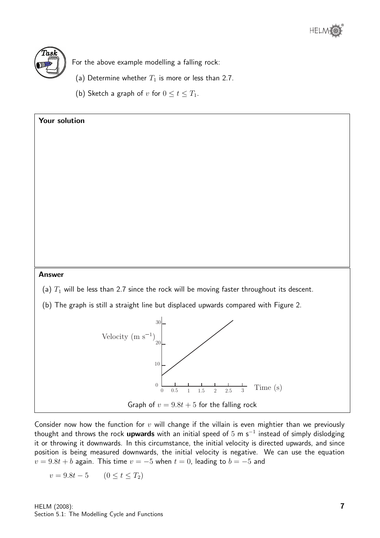



For the above example modelling a falling rock:

- (a) Determine whether  $T_1$  is more or less than 2.7.
- (b) Sketch a graph of v for  $0 \le t \le T_1$ .



Consider now how the function for  $v$  will change if the villain is even mightier than we previously thought and throws the rock **upwards** with an initial speed of 5 m s<sup>-1</sup> instead of simply dislodging it or throwing it downwards. In this circumstance, the initial velocity is directed upwards, and since position is being measured downwards, the initial velocity is negative. We can use the equation  $v = 9.8t + b$  again. This time  $v = -5$  when  $t = 0$ , leading to  $b = -5$  and

 $v = 9.8t - 5$  (0 < t < T<sub>2</sub>)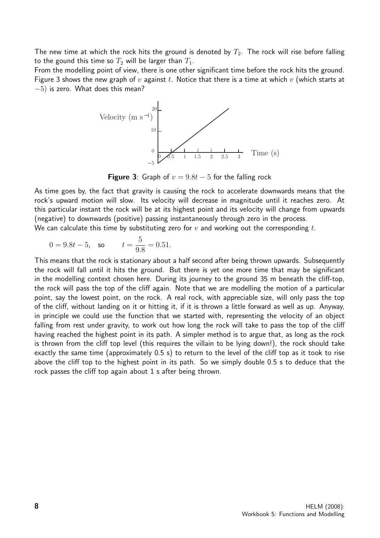The new time at which the rock hits the ground is denoted by  $T_2$ . The rock will rise before falling to the gound this time so  $T_2$  will be larger than  $T_1$ .

From the modelling point of view, there is one other significant time before the rock hits the ground. Figure 3 shows the new graph of  $v$  against  $t$ . Notice that there is a time at which  $v$  (which starts at  $-5$ ) is zero. What does this mean?



**Figure 3:** Graph of  $v = 9.8t - 5$  for the falling rock

As time goes by, the fact that gravity is causing the rock to accelerate downwards means that the rock's upward motion will slow. Its velocity will decrease in magnitude until it reaches zero. At this particular instant the rock will be at its highest point and its velocity will change from upwards (negative) to downwards (positive) passing instantaneously through zero in the process.

We can calculate this time by substituting zero for  $v$  and working out the corresponding  $t$ .

$$
0 = 9.8t - 5
$$
, so  $t = \frac{5}{9.8} = 0.51$ .

This means that the rock is stationary about a half second after being thrown upwards. Subsequently the rock will fall until it hits the ground. But there is yet one more time that may be significant in the modelling context chosen here. During its journey to the ground 35 m beneath the cliff-top, the rock will pass the top of the cliff again. Note that we are modelling the motion of a particular point, say the lowest point, on the rock. A real rock, with appreciable size, will only pass the top of the cliff, without landing on it or hitting it, if it is thrown a little forward as well as up. Anyway, in principle we could use the function that we started with, representing the velocity of an object falling from rest under gravity, to work out how long the rock will take to pass the top of the cliff having reached the highest point in its path. A simpler method is to argue that, as long as the rock is thrown from the cliff top level (this requires the villain to be lying down!), the rock should take exactly the same time (approximately 0.5 s) to return to the level of the cliff top as it took to rise above the cliff top to the highest point in its path. So we simply double 0.5 s to deduce that the rock passes the cliff top again about 1 s after being thrown.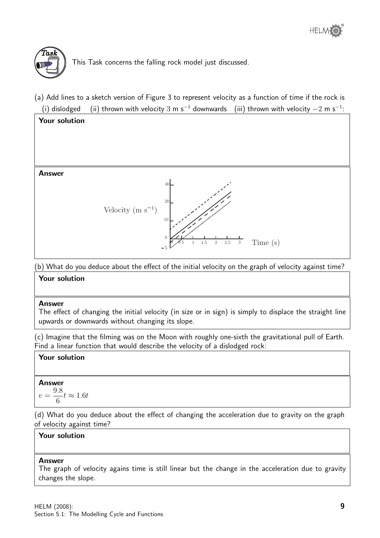

This Task concerns the falling rock model just discussed.

(a) Add lines to a sketch version of Figure 3 to represent velocity as a function of time if the rock is (i) dislodged  $\quad$  (ii) thrown with velocity  $3\,$  m s $^{-1}$  downwards  $\quad$  (iii) thrown with velocity  $-2\,$  m s $^{-1}$ :



(b) What do you deduce about the effect of the initial velocity on the graph of velocity against time?

#### Your solution

#### Answer

The effect of changing the initial velocity (in size or in sign) is simply to displace the straight line upwards or downwards without changing its slope.

(c) Imagine that the filming was on the Moon with roughly one-sixth the gravitational pull of Earth. Find a linear function that would describe the velocity of a dislodged rock:

#### Your solution

# Answer

$$
v = \frac{9.8}{6}t \approx 1.6t
$$

(d) What do you deduce about the effect of changing the acceleration due to gravity on the graph of velocity against time?

#### Your solution

#### Answer

The graph of velocity agains time is still linear but the change in the acceleration due to gravity changes the slope.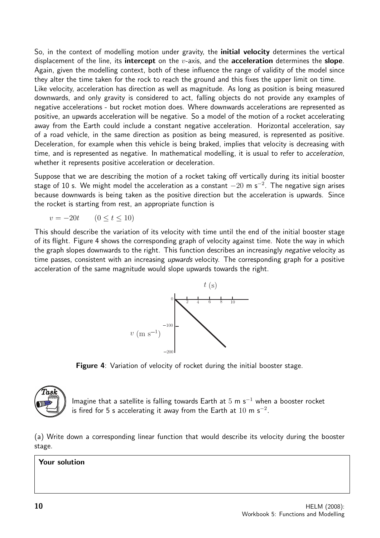So, in the context of modelling motion under gravity, the **initial velocity** determines the vertical displacement of the line, its **intercept** on the  $v$ -axis, and the **acceleration** determines the **slope**. Again, given the modelling context, both of these influence the range of validity of the model since they alter the time taken for the rock to reach the ground and this fixes the upper limit on time. Like velocity, acceleration has direction as well as magnitude. As long as position is being measured downwards, and only gravity is considered to act, falling objects do not provide any examples of negative accelerations - but rocket motion does. Where downwards accelerations are represented as positive, an upwards acceleration will be negative. So a model of the motion of a rocket accelerating away from the Earth could include a constant negative acceleration. Horizontal acceleration, say of a road vehicle, in the same direction as position as being measured, is represented as positive. Deceleration, for example when this vehicle is being braked, implies that velocity is decreasing with time, and is represented as negative. In mathematical modelling, it is usual to refer to acceleration, whether it represents positive acceleration or deceleration.

Suppose that we are describing the motion of a rocket taking off vertically during its initial booster stage of 10 s. We might model the acceleration as a constant  $-20$  m s $^{-2}$ . The negative sign arises because downwards is being taken as the positive direction but the acceleration is upwards. Since the rocket is starting from rest, an appropriate function is

$$
v = -20t \qquad (0 \le t \le 10)
$$

This should describe the variation of its velocity with time until the end of the initial booster stage of its flight. Figure 4 shows the corresponding graph of velocity against time. Note the way in which the graph slopes downwards to the right. This function describes an increasingly *negative* velocity as time passes, consistent with an increasing *upwards* velocity. The corresponding graph for a positive acceleration of the same magnitude would slope upwards towards the right.



Figure 4: Variation of velocity of rocket during the initial booster stage.



Imagine that a satellite is falling towards Earth at  $5 \text{ m s}^{-1}$  when a booster rocket is fired for 5 s accelerating it away from the Earth at  $10\,$  m s $^{-2}.$ 

(a) Write down a corresponding linear function that would describe its velocity during the booster stage.

#### Your solution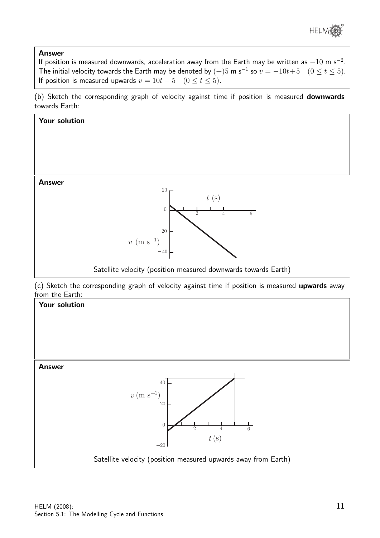

#### Answer

If position is measured downwards, acceleration away from the Earth may be written as  $-10$  m s<sup>-2</sup>. The initial velocity towards the Earth may be denoted by  $(+)$ 5 m s<sup>-1</sup> so  $v = -10t+5 \quad (0 \le t \le 5)$ . If position is measured upwards  $v = 10t - 5$  ( $0 \le t \le 5$ ).

(b) Sketch the corresponding graph of velocity against time if position is measured downwards towards Earth:



Satellite velocity (position measured upwards away from Earth)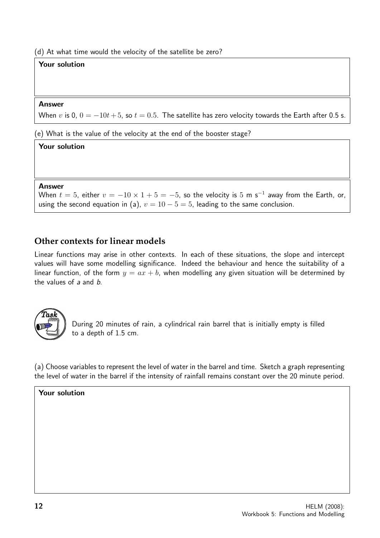(d) At what time would the velocity of the satellite be zero?

#### Your solution

#### Answer

When v is 0,  $0 = -10t + 5$ , so  $t = 0.5$ . The satellite has zero velocity towards the Earth after 0.5 s.

(e) What is the value of the velocity at the end of the booster stage?

#### Your solution

#### Answer

When  $t=5$ , either  $v=-10\times 1+5=-5$ , so the velocity is  $5\,$  m s $^{-1}$  away from the Earth, or, using the second equation in (a),  $v = 10 - 5 = 5$ , leading to the same conclusion.

#### **Other contexts for linear models**

Linear functions may arise in other contexts. In each of these situations, the slope and intercept values will have some modelling significance. Indeed the behaviour and hence the suitability of a linear function, of the form  $y = ax + b$ , when modelling any given situation will be determined by the values of a and b.



During 20 minutes of rain, a cylindrical rain barrel that is initially empty is filled to a depth of 1.5 cm.

(a) Choose variables to represent the level of water in the barrel and time. Sketch a graph representing the level of water in the barrel if the intensity of rainfall remains constant over the 20 minute period.

#### Your solution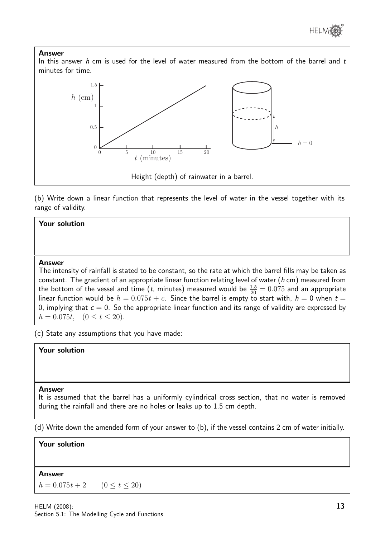

#### Answer

In this answer h cm is used for the level of water measured from the bottom of the barrel and  $t$ minutes for time.



(b) Write down a linear function that represents the level of water in the vessel together with its range of validity.

#### Your solution

#### Answer

The intensity of rainfall is stated to be constant, so the rate at which the barrel fills may be taken as constant. The gradient of an appropriate linear function relating level of water ( $h$  cm) measured from the bottom of the vessel and time  $(t$ , minutes) measured would be  $\frac{1.5}{20} = 0.075$  and an appropriate linear function would be  $h = 0.075t + c$ . Since the barrel is empty to start with,  $h = 0$  when  $t =$ 0, implying that  $c = 0$ . So the appropriate linear function and its range of validity are expressed by  $h = 0.075t, \quad (0 \le t \le 20).$ 

(c) State any assumptions that you have made:

#### Your solution

#### Answer

It is assumed that the barrel has a uniformly cylindrical cross section, that no water is removed during the rainfall and there are no holes or leaks up to 1.5 cm depth.

(d) Write down the amended form of your answer to (b), if the vessel contains 2 cm of water initially.

#### Your solution

#### **Answer**

 $h = 0.075t + 2$   $(0 \le t \le 20)$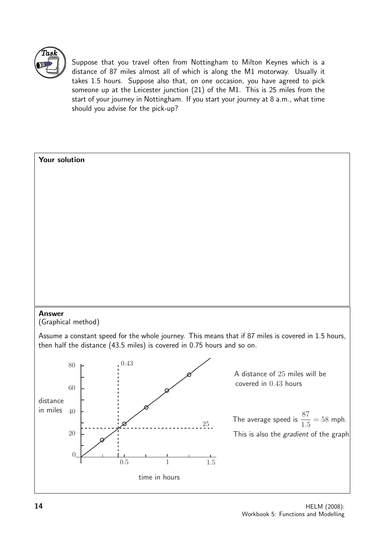

Suppose that you travel often from Nottingham to Milton Keynes which is a distance of 87 miles almost all of which is along the M1 motorway. Usually it takes 1.5 hours. Suppose also that, on one occasion, you have agreed to pick someone up at the Leicester junction (21) of the M1. This is 25 miles from the start of your journey in Nottingham. If you start your journey at 8 a.m., what time should you advise for the pick-up?

# Your solution Answer (Graphical method) Assume a constant speed for the whole journey. This means that if 87 miles is covered in 1.5 hours, then half the distance (43.5 miles) is covered in 0.75 hours and so on.  $\theta$ 20 in miles  $40$ 60  $80 - 0.43$ 0.5 1 1.5 25 A distance of 25 miles will be covered in 0.43 hours The average speed is  $\frac{87}{15}$  $\frac{31}{1.5} = 58$  mph. This is also the gradient of the graph distance time in hours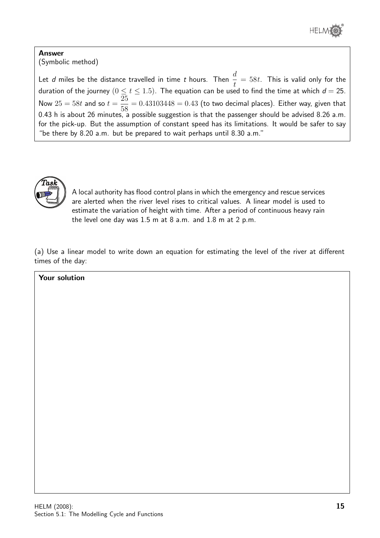

#### Answer (Symbolic method)

Let  $d$  miles be the distance travelled in time  $t$  hours. Then  $\frac{d}{dt}$ t  $= 58t$ . This is valid only for the duration of the journey  $(0 \leq t \leq 1.5).$  The equation can be used to find the time at which  $d=25.$ Now  $25 = 58t$  and so  $t =$ 25 58  $= 0.43103448 = 0.43$  (to two decimal places). Either way, given that 0.43 h is about 26 minutes, a possible suggestion is that the passenger should be advised 8.26 a.m. for the pick-up. But the assumption of constant speed has its limitations. It would be safer to say "be there by 8.20 a.m. but be prepared to wait perhaps until 8.30 a.m."



A local authority has flood control plans in which the emergency and rescue services are alerted when the river level rises to critical values. A linear model is used to estimate the variation of height with time. After a period of continuous heavy rain the level one day was 1.5 m at 8 a.m. and 1.8 m at 2 p.m.

(a) Use a linear model to write down an equation for estimating the level of the river at different times of the day:

| Your solution |  |  |
|---------------|--|--|
|               |  |  |
|               |  |  |
|               |  |  |
|               |  |  |
|               |  |  |
|               |  |  |
|               |  |  |
|               |  |  |
|               |  |  |
|               |  |  |
|               |  |  |
|               |  |  |
|               |  |  |
|               |  |  |
|               |  |  |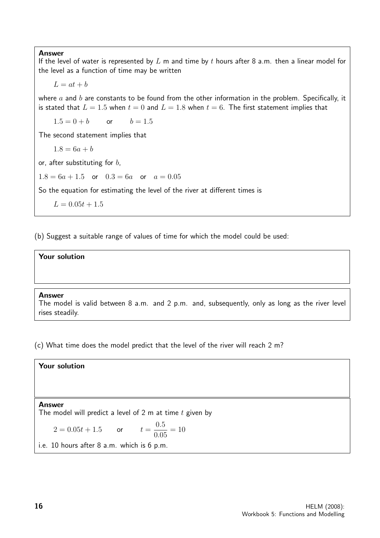Answer

If the level of water is represented by  $L$  m and time by  $t$  hours after 8 a.m. then a linear model for the level as a function of time may be written

 $L = at + b$ 

where  $a$  and  $b$  are constants to be found from the other information in the problem. Specifically, it is stated that  $L = 1.5$  when  $t = 0$  and  $L = 1.8$  when  $t = 6$ . The first statement implies that

 $1.5 = 0 + b$  or  $b = 1.5$ 

The second statement implies that

 $1.8 = 6a + b$ 

or, after substituting for  $b$ ,

 $1.8 = 6a + 1.5$  or  $0.3 = 6a$  or  $a = 0.05$ 

So the equation for estimating the level of the river at different times is

 $L = 0.05t + 1.5$ 

(b) Suggest a suitable range of values of time for which the model could be used:

#### Your solution

#### Answer

The model is valid between 8 a.m. and 2 p.m. and, subsequently, only as long as the river level rises steadily.

(c) What time does the model predict that the level of the river will reach 2 m?

#### Your solution

#### Answer

The model will predict a level of 2 m at time  $t$  given by

$$
2 = 0.05t + 1.5 \qquad \text{or} \qquad t = \frac{0.5}{0.05} = 10
$$

i.e. 10 hours after 8 a.m. which is 6 p.m.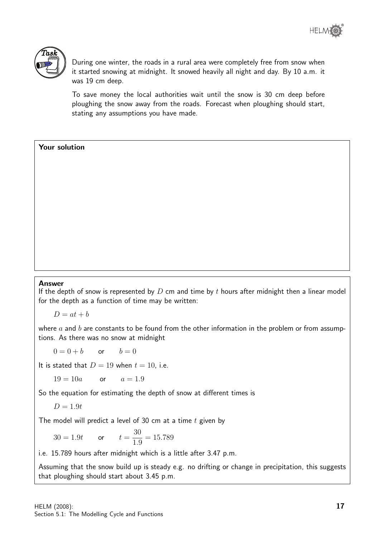

During one winter, the roads in a rural area were completely free from snow when it started snowing at midnight. It snowed heavily all night and day. By 10 a.m. it was 19 cm deep.

To save money the local authorities wait until the snow is 30 cm deep before ploughing the snow away from the roads. Forecast when ploughing should start, stating any assumptions you have made.

#### Your solution

#### Answer

If the depth of snow is represented by  $D$  cm and time by  $t$  hours after midnight then a linear model for the depth as a function of time may be written:

 $D = at + b$ 

where  $a$  and  $b$  are constants to be found from the other information in the problem or from assumptions. As there was no snow at midnight

 $0 = 0 + b$  or  $b = 0$ 

It is stated that  $D = 19$  when  $t = 10$ , i.e.

 $19 = 10a$  or  $a = 1.9$ 

So the equation for estimating the depth of snow at different times is

$$
D=1.9t
$$

The model will predict a level of 30 cm at a time  $t$  given by

 $30 = 1.9t$  or  $t =$ 30 1.9  $= 15.789$ 

i.e. 15.789 hours after midnight which is a little after 3.47 p.m.

Assuming that the snow build up is steady e.g. no drifting or change in precipitation, this suggests that ploughing should start about 3.45 p.m.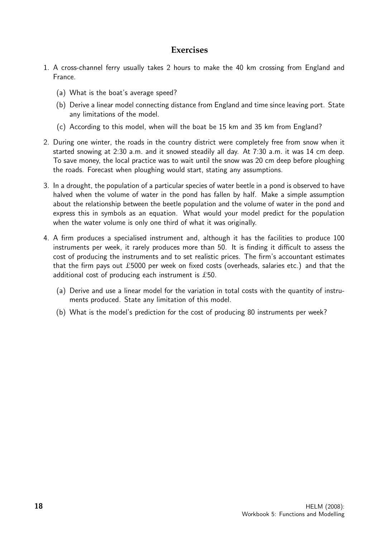#### **Exercises**

- 1. A cross-channel ferry usually takes 2 hours to make the 40 km crossing from England and France.
	- (a) What is the boat's average speed?
	- (b) Derive a linear model connecting distance from England and time since leaving port. State any limitations of the model.
	- (c) According to this model, when will the boat be 15 km and 35 km from England?
- 2. During one winter, the roads in the country district were completely free from snow when it started snowing at 2:30 a.m. and it snowed steadily all day. At 7:30 a.m. it was 14 cm deep. To save money, the local practice was to wait until the snow was 20 cm deep before ploughing the roads. Forecast when ploughing would start, stating any assumptions.
- 3. In a drought, the population of a particular species of water beetle in a pond is observed to have halved when the volume of water in the pond has fallen by half. Make a simple assumption about the relationship between the beetle population and the volume of water in the pond and express this in symbols as an equation. What would your model predict for the population when the water volume is only one third of what it was originally.
- 4. A firm produces a specialised instrument and, although it has the facilities to produce 100 instruments per week, it rarely produces more than 50. It is finding it difficult to assess the cost of producing the instruments and to set realistic prices. The firm's accountant estimates that the firm pays out £5000 per week on fixed costs (overheads, salaries etc.) and that the additional cost of producing each instrument is £50.
	- (a) Derive and use a linear model for the variation in total costs with the quantity of instruments produced. State any limitation of this model.
	- (b) What is the model's prediction for the cost of producing 80 instruments per week?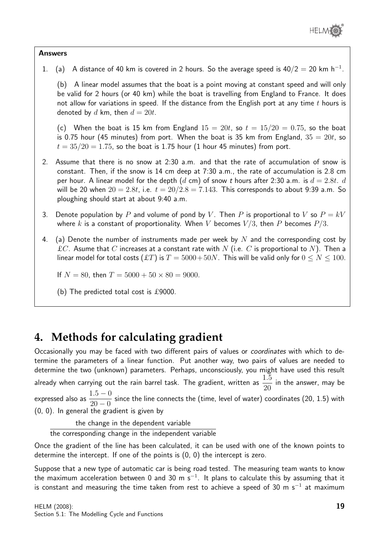

#### Answers

1. (a) A distance of 40 km is covered in 2 hours. So the average speed is  $40/2 = 20$  km h<sup>-1</sup>.

(b) A linear model assumes that the boat is a point moving at constant speed and will only be valid for 2 hours (or 40 km) while the boat is travelling from England to France. It does not allow for variations in speed. If the distance from the English port at any time  $t$  hours is denoted by d km, then  $d = 20t$ .

(c) When the boat is 15 km from England  $15 = 20t$ , so  $t = 15/20 = 0.75$ , so the boat is 0.75 hour (45 minutes) from port. When the boat is 35 km from England,  $35 = 20t$ , so  $t = 35/20 = 1.75$ , so the boat is 1.75 hour (1 hour 45 minutes) from port.

- 2. Assume that there is no snow at 2:30 a.m. and that the rate of accumulation of snow is constant. Then, if the snow is 14 cm deep at 7:30 a.m., the rate of accumulation is 2.8 cm per hour. A linear model for the depth  $(d \text{ cm})$  of snow t hours after 2:30 a.m. is  $d = 2.8t$ . d will be 20 when  $20 = 2.8t$ , i.e.  $t = 20/2.8 = 7.143$ . This corresponds to about 9:39 a.m. So ploughing should start at about 9:40 a.m.
- 3. Denote population by P and volume of pond by V. Then P is proportional to V so  $P = kV$ where k is a constant of proportionality. When V becomes  $V/3$ , then P becomes  $P/3$ .
- 4. (a) Denote the number of instruments made per week by N and the corresponding cost by  $\pounds C$ . Asume that C increases at a constant rate with N (i.e. C is proportional to N). Then a linear model for total costs  $(ET)$  is  $T = 5000+50N$ . This will be valid only for  $0 \le N \le 100$ .

If  $N = 80$ , then  $T = 5000 + 50 \times 80 = 9000$ .

(b) The predicted total cost is £9000.

### **4. Methods for calculating gradient**

Occasionally you may be faced with two different pairs of values or coordinates with which to determine the parameters of a linear function. Put another way, two pairs of values are needed to determine the two (unknown) parameters. Perhaps, unconsciously, you might have used this result already when carrying out the rain barrel task. The gradient, written as  $\frac{1.5}{20}$ 20 in the answer, may be expressed also as  $\frac{1.5 - 0}{0.0 - 0.0}$  $20 - 0$ since the line connects the (time, level of water) coordinates (20, 1.5) with (0, 0). In general the gradient is given by

the change in the dependent variable

the corresponding change in the independent variable

Once the gradient of the line has been calculated, it can be used with one of the known points to determine the intercept. If one of the points is (0, 0) the intercept is zero.

Suppose that a new type of automatic car is being road tested. The measuring team wants to know the maximum acceleration between 0 and 30 m s $^{-1}$ . It plans to calculate this by assuming that it is constant and measuring the time taken from rest to achieve a speed of 30 m s<sup>-1</sup> at maximum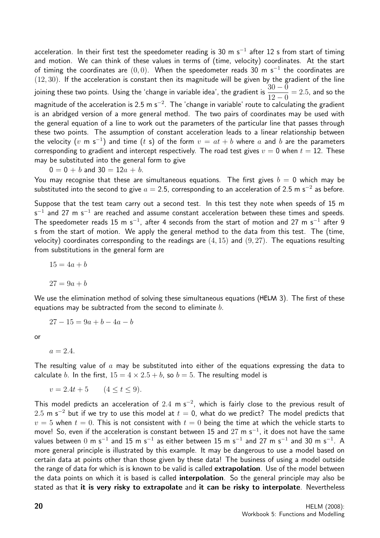acceleration. In their first test the speedometer reading is 30 m s<sup>-1</sup> after 12 s from start of timing and motion. We can think of these values in terms of (time, velocity) coordinates. At the start of timing the coordinates are  $(0,0)$ . When the speedometer reads 30 m s<sup>-1</sup> the coordinates are  $(12, 30)$ . If the acceleration is constant then its magnitude will be given by the gradient of the line joining these two points. Using the 'change in variable idea', the gradient is  $\frac{30 - 0}{10}$  $12 - 0$  $= 2.5$ , and so the magnitude of the acceleration is 2.5 m s<sup>-2</sup>. The 'change in variable' route to calculating the gradient is an abridged version of a more general method. The two pairs of coordinates may be used with the general equation of a line to work out the parameters of the particular line that passes through these two points. The assumption of constant acceleration leads to a linear relationship between the velocity  $(v$  m s $^{-1})$  and time  $(t$  s) of the form  $v = at + b$  where  $a$  and  $b$  are the parameters corresponding to gradient and intercept respectively. The road test gives  $v = 0$  when  $t = 12$ . These may be substituted into the general form to give

$$
0 = 0 + b \text{ and } 30 = 12a + b.
$$

You may recognise that these are simultaneous equations. The first gives  $b = 0$  which may be substituted into the second to give  $a=2.5$ , corresponding to an acceleration of 2.5 m s $^{-2}$  as before.

Suppose that the test team carry out a second test. In this test they note when speeds of 15 m  $\mathsf{s}^{-1}$  and 27 m  $\mathsf{s}^{-1}$  are reached and assume constant acceleration between these times and speeds. The speedometer reads 15 m s<sup>-1</sup>, after 4 seconds from the start of motion and 27 m s<sup>-1</sup> after 9 s from the start of motion. We apply the general method to the data from this test. The (time, velocity) coordinates corresponding to the readings are  $(4, 15)$  and  $(9, 27)$ . The equations resulting from substitutions in the general form are

 $15 = 4a + b$ 

 $27 = 9a + b$ 

We use the elimination method of solving these simultaneous equations (HELM 3). The first of these equations may be subtracted from the second to eliminate  $b$ .

$$
27 - 15 = 9a + b - 4a - b
$$

or

 $a = 2.4.$ 

The resulting value of  $a$  may be substituted into either of the equations expressing the data to calculate b. In the first,  $15 = 4 \times 2.5 + b$ , so  $b = 5$ . The resulting model is

 $v = 2.4t + 5$   $(4 \le t \le 9)$ .

This model predicts an acceleration of 2.4 m s<sup>-2</sup>, which is fairly close to the previous result of 2.5 m s<sup>-2</sup> but if we try to use this model at  $t = 0$ , what do we predict? The model predicts that  $v = 5$  when  $t = 0$ . This is not consistent with  $t = 0$  being the time at which the vehicle starts to move! So, even if the acceleration is constant between 15 and  $27 \text{ m s}^{-1}$ , it does not have the same values between  $0$  m s $^{-1}$  and  $15$  m s $^{-1}$  as either between  $15$  m s $^{-1}$  and  $27$  m s $^{-1}$  and  $30$  m s $^{-1}$ . A more general principle is illustrated by this example. It may be dangerous to use a model based on certain data at points other than those given by these data! The business of using a model outside the range of data for which is is known to be valid is called extrapolation. Use of the model between the data points on which it is based is called **interpolation**. So the general principle may also be stated as that it is very risky to extrapolate and it can be risky to interpolate. Nevertheless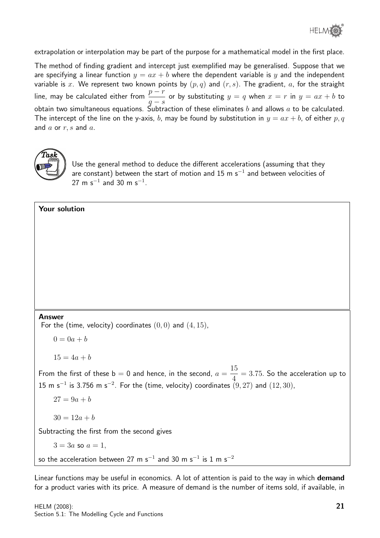

extrapolation or interpolation may be part of the purpose for a mathematical model in the first place.

The method of finding gradient and intercept just exemplified may be generalised. Suppose that we are specifying a linear function  $y = ax + b$  where the dependent variable is y and the independent variable is x. We represent two known points by  $(p, q)$  and  $(r, s)$ . The gradient, a, for the straight line, may be calculated either from  $\frac{p-r}{r}$  $q - s$ or by substituting  $y = q$  when  $x = r$  in  $y = ax + b$  to obtain two simultaneous equations. Subtraction of these eliminates b and allows a to be calculated. The intercept of the line on the y-axis, b, may be found by substitution in  $y = ax + b$ , of either p, q and  $a$  or  $r, s$  and  $a$ .



Use the general method to deduce the different accelerations (assuming that they are constant) between the start of motion and 15 m s $^{\rm -1}$  and between velocities of  $27 \text{ m s}^{-1}$  and  $30 \text{ m s}^{-1}$ .

#### Your solution

#### Answer

For the (time, velocity) coordinates  $(0, 0)$  and  $(4, 15)$ ,

 $0 = 0a + b$ 

 $15 = 4a + b$ 

From the first of these  $b = 0$  and hence, in the second,  $a =$ 15 4  $= 3.75$ . So the acceleration up to 15 m s<sup>-1</sup> is 3.756 m s<sup>-2</sup>. For the (time, velocity) coordinates  $(9, 27)$  and  $(12, 30)$ ,

 $27 = 9a + b$ 

 $30 = 12a + b$ 

Subtracting the first from the second gives

$$
3 = 3a
$$
 so  $a = 1$ ,

so the acceleration between 27 m s $^{-1}$  and 30 m s $^{-1}$  is 1 m s $^{-2}$ 

Linear functions may be useful in economics. A lot of attention is paid to the way in which demand for a product varies with its price. A measure of demand is the number of items sold, if available, in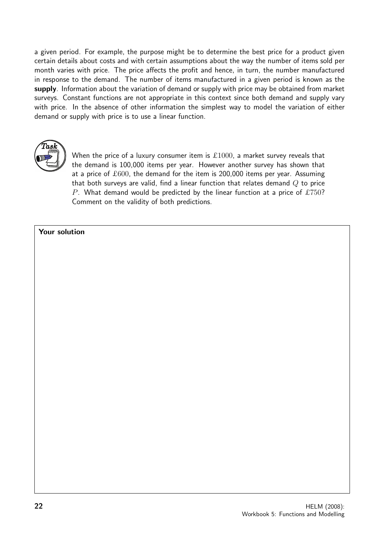a given period. For example, the purpose might be to determine the best price for a product given certain details about costs and with certain assumptions about the way the number of items sold per month varies with price. The price affects the profit and hence, in turn, the number manufactured in response to the demand. The number of items manufactured in a given period is known as the supply. Information about the variation of demand or supply with price may be obtained from market surveys. Constant functions are not appropriate in this context since both demand and supply vary with price. In the absence of other information the simplest way to model the variation of either demand or supply with price is to use a linear function.



When the price of a luxury consumer item is  $£1000$ , a market survey reveals that the demand is 100,000 items per year. However another survey has shown that at a price of  $£600$ , the demand for the item is 200,000 items per year. Assuming that both surveys are valid, find a linear function that relates demand  $Q$  to price P. What demand would be predicted by the linear function at a price of £750? Comment on the validity of both predictions.

#### Your solution